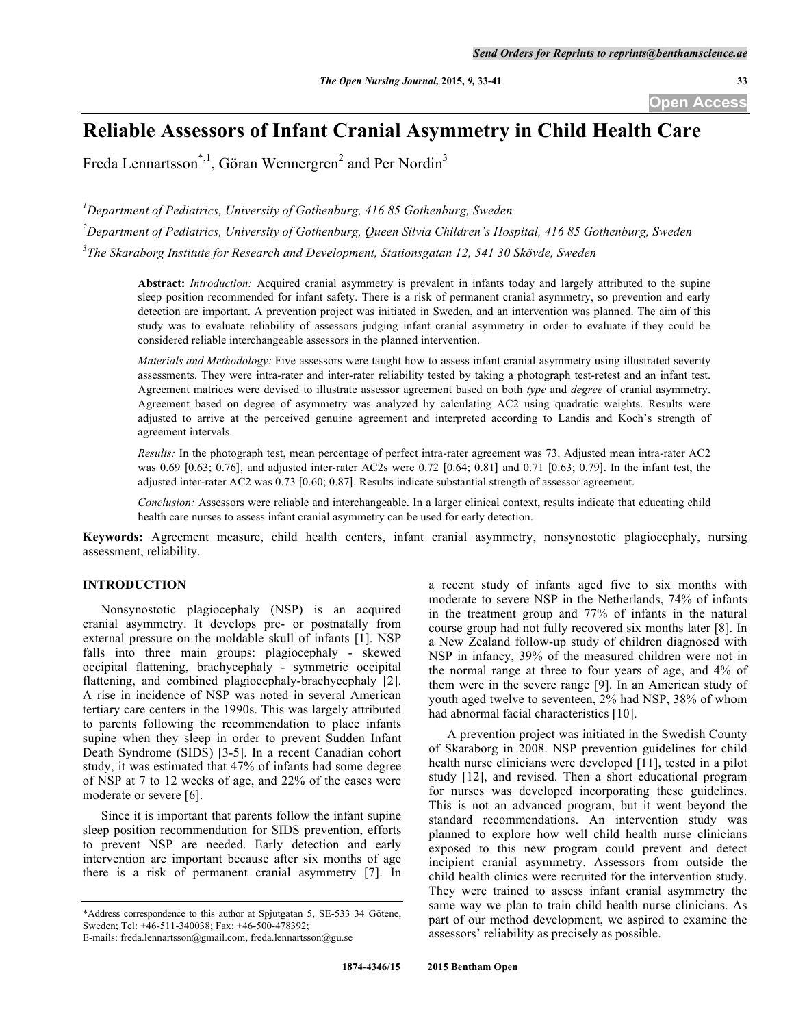**Open Access**

# **Reliable Assessors of Infant Cranial Asymmetry in Child Health Care**

Freda Lennartsson<sup>\*,1</sup>, Göran Wennergren<sup>2</sup> and Per Nordin<sup>3</sup>

*1 Department of Pediatrics, University of Gothenburg, 416 85 Gothenburg, Sweden*

*2 Department of Pediatrics, University of Gothenburg, Queen Silvia Children's Hospital, 416 85 Gothenburg, Sweden 3 The Skaraborg Institute for Research and Development, Stationsgatan 12, 541 30 Skövde, Sweden*

**Abstract:** *Introduction:* Acquired cranial asymmetry is prevalent in infants today and largely attributed to the supine sleep position recommended for infant safety. There is a risk of permanent cranial asymmetry, so prevention and early detection are important. A prevention project was initiated in Sweden, and an intervention was planned. The aim of this study was to evaluate reliability of assessors judging infant cranial asymmetry in order to evaluate if they could be considered reliable interchangeable assessors in the planned intervention.

*Materials and Methodology:* Five assessors were taught how to assess infant cranial asymmetry using illustrated severity assessments. They were intra-rater and inter-rater reliability tested by taking a photograph test-retest and an infant test. Agreement matrices were devised to illustrate assessor agreement based on both *type* and *degree* of cranial asymmetry. Agreement based on degree of asymmetry was analyzed by calculating AC2 using quadratic weights. Results were adjusted to arrive at the perceived genuine agreement and interpreted according to Landis and Koch's strength of agreement intervals.

*Results:* In the photograph test, mean percentage of perfect intra-rater agreement was 73. Adjusted mean intra-rater AC2 was 0.69 [0.63; 0.76], and adjusted inter-rater AC2s were 0.72 [0.64; 0.81] and 0.71 [0.63; 0.79]. In the infant test, the adjusted inter-rater AC2 was 0.73 [0.60; 0.87]. Results indicate substantial strength of assessor agreement.

*Conclusion:* Assessors were reliable and interchangeable. In a larger clinical context, results indicate that educating child health care nurses to assess infant cranial asymmetry can be used for early detection.

**Keywords:** Agreement measure, child health centers, infant cranial asymmetry, nonsynostotic plagiocephaly, nursing assessment, reliability.

## **INTRODUCTION**

Nonsynostotic plagiocephaly (NSP) is an acquired cranial asymmetry. It develops pre- or postnatally from external pressure on the moldable skull of infants [1]. NSP falls into three main groups: plagiocephaly - skewed occipital flattening, brachycephaly - symmetric occipital flattening, and combined plagiocephaly-brachycephaly [2]. A rise in incidence of NSP was noted in several American tertiary care centers in the 1990s. This was largely attributed to parents following the recommendation to place infants supine when they sleep in order to prevent Sudden Infant Death Syndrome (SIDS) [3-5]. In a recent Canadian cohort study, it was estimated that 47% of infants had some degree of NSP at 7 to 12 weeks of age, and 22% of the cases were moderate or severe [6].

Since it is important that parents follow the infant supine sleep position recommendation for SIDS prevention, efforts to prevent NSP are needed. Early detection and early intervention are important because after six months of age there is a risk of permanent cranial asymmetry [7]. In

a recent study of infants aged five to six months with moderate to severe NSP in the Netherlands, 74% of infants in the treatment group and 77% of infants in the natural course group had not fully recovered six months later [8]. In a New Zealand follow-up study of children diagnosed with NSP in infancy, 39% of the measured children were not in the normal range at three to four years of age, and 4% of them were in the severe range [9]. In an American study of youth aged twelve to seventeen, 2% had NSP, 38% of whom had abnormal facial characteristics [10].

A prevention project was initiated in the Swedish County of Skaraborg in 2008. NSP prevention guidelines for child health nurse clinicians were developed [11], tested in a pilot study [12], and revised. Then a short educational program for nurses was developed incorporating these guidelines. This is not an advanced program, but it went beyond the standard recommendations. An intervention study was planned to explore how well child health nurse clinicians exposed to this new program could prevent and detect incipient cranial asymmetry. Assessors from outside the child health clinics were recruited for the intervention study. They were trained to assess infant cranial asymmetry the same way we plan to train child health nurse clinicians. As part of our method development, we aspired to examine the assessors' reliability as precisely as possible.

<sup>\*</sup>Address correspondence to this author at Spjutgatan 5, SE-533 34 Götene, Sweden; Tel: +46-511-340038; Fax: +46-500-478392;

E-mails: freda.lennartsson@gmail.com, freda.lennartsson@gu.se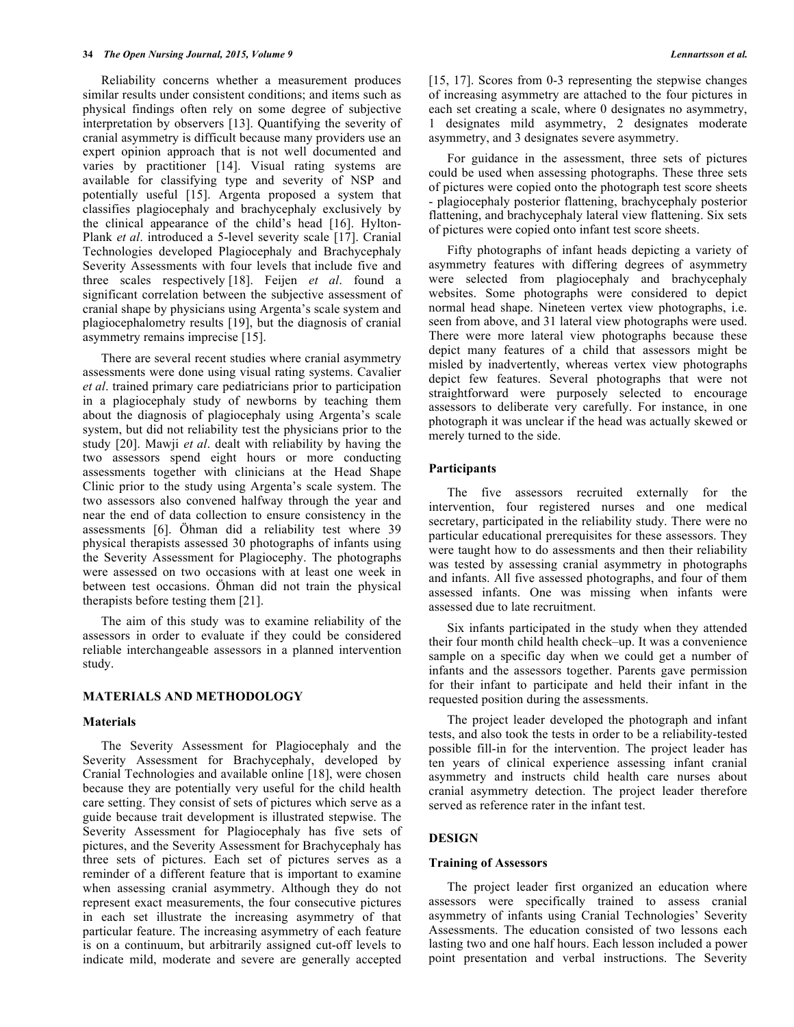Reliability concerns whether a measurement produces similar results under consistent conditions; and items such as physical findings often rely on some degree of subjective interpretation by observers [13]. Quantifying the severity of cranial asymmetry is difficult because many providers use an expert opinion approach that is not well documented and varies by practitioner [14]. Visual rating systems are available for classifying type and severity of NSP and potentially useful [15]. Argenta proposed a system that classifies plagiocephaly and brachycephaly exclusively by the clinical appearance of the child's head [16]. Hylton-Plank *et al*. introduced a 5-level severity scale [17]. Cranial Technologies developed Plagiocephaly and Brachycephaly Severity Assessments with four levels that include five and three scales respectively [18]. Feijen *et al*. found a significant correlation between the subjective assessment of cranial shape by physicians using Argenta's scale system and plagiocephalometry results [19], but the diagnosis of cranial asymmetry remains imprecise [15].

There are several recent studies where cranial asymmetry assessments were done using visual rating systems. Cavalier *et al*. trained primary care pediatricians prior to participation in a plagiocephaly study of newborns by teaching them about the diagnosis of plagiocephaly using Argenta's scale system, but did not reliability test the physicians prior to the study [20]. Mawji *et al*. dealt with reliability by having the two assessors spend eight hours or more conducting assessments together with clinicians at the Head Shape Clinic prior to the study using Argenta's scale system. The two assessors also convened halfway through the year and near the end of data collection to ensure consistency in the assessments [6]. Öhman did a reliability test where 39 physical therapists assessed 30 photographs of infants using the Severity Assessment for Plagiocephy. The photographs were assessed on two occasions with at least one week in between test occasions. Öhman did not train the physical therapists before testing them [21].

The aim of this study was to examine reliability of the assessors in order to evaluate if they could be considered reliable interchangeable assessors in a planned intervention study.

#### **MATERIALS AND METHODOLOGY**

#### **Materials**

The Severity Assessment for Plagiocephaly and the Severity Assessment for Brachycephaly, developed by Cranial Technologies and available online [18], were chosen because they are potentially very useful for the child health care setting. They consist of sets of pictures which serve as a guide because trait development is illustrated stepwise. The Severity Assessment for Plagiocephaly has five sets of pictures, and the Severity Assessment for Brachycephaly has three sets of pictures. Each set of pictures serves as a reminder of a different feature that is important to examine when assessing cranial asymmetry. Although they do not represent exact measurements, the four consecutive pictures in each set illustrate the increasing asymmetry of that particular feature. The increasing asymmetry of each feature is on a continuum, but arbitrarily assigned cut-off levels to indicate mild, moderate and severe are generally accepted

[15, 17]. Scores from 0-3 representing the stepwise changes of increasing asymmetry are attached to the four pictures in each set creating a scale, where 0 designates no asymmetry, 1 designates mild asymmetry, 2 designates moderate asymmetry, and 3 designates severe asymmetry.

For guidance in the assessment, three sets of pictures could be used when assessing photographs. These three sets of pictures were copied onto the photograph test score sheets - plagiocephaly posterior flattening, brachycephaly posterior flattening, and brachycephaly lateral view flattening. Six sets of pictures were copied onto infant test score sheets.

Fifty photographs of infant heads depicting a variety of asymmetry features with differing degrees of asymmetry were selected from plagiocephaly and brachycephaly websites. Some photographs were considered to depict normal head shape. Nineteen vertex view photographs, i.e. seen from above, and 31 lateral view photographs were used. There were more lateral view photographs because these depict many features of a child that assessors might be misled by inadvertently, whereas vertex view photographs depict few features. Several photographs that were not straightforward were purposely selected to encourage assessors to deliberate very carefully. For instance, in one photograph it was unclear if the head was actually skewed or merely turned to the side.

#### **Participants**

The five assessors recruited externally for the intervention, four registered nurses and one medical secretary, participated in the reliability study. There were no particular educational prerequisites for these assessors. They were taught how to do assessments and then their reliability was tested by assessing cranial asymmetry in photographs and infants. All five assessed photographs, and four of them assessed infants. One was missing when infants were assessed due to late recruitment.

Six infants participated in the study when they attended their four month child health check–up. It was a convenience sample on a specific day when we could get a number of infants and the assessors together. Parents gave permission for their infant to participate and held their infant in the requested position during the assessments.

The project leader developed the photograph and infant tests, and also took the tests in order to be a reliability-tested possible fill-in for the intervention. The project leader has ten years of clinical experience assessing infant cranial asymmetry and instructs child health care nurses about cranial asymmetry detection. The project leader therefore served as reference rater in the infant test.

#### **DESIGN**

## **Training of Assessors**

The project leader first organized an education where assessors were specifically trained to assess cranial asymmetry of infants using Cranial Technologies' Severity Assessments. The education consisted of two lessons each lasting two and one half hours. Each lesson included a power point presentation and verbal instructions. The Severity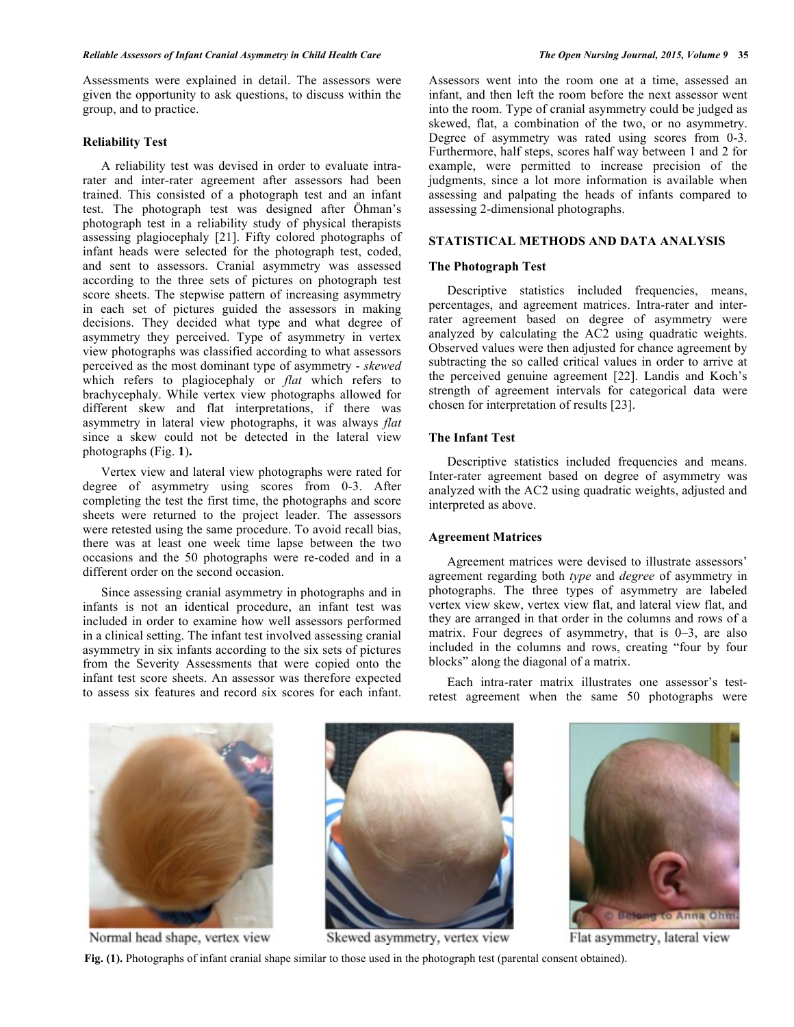Assessments were explained in detail. The assessors were given the opportunity to ask questions, to discuss within the group, and to practice.

# **Reliability Test**

A reliability test was devised in order to evaluate intrarater and inter-rater agreement after assessors had been trained. This consisted of a photograph test and an infant test. The photograph test was designed after Öhman's photograph test in a reliability study of physical therapists assessing plagiocephaly [21]. Fifty colored photographs of infant heads were selected for the photograph test, coded, and sent to assessors. Cranial asymmetry was assessed according to the three sets of pictures on photograph test score sheets. The stepwise pattern of increasing asymmetry in each set of pictures guided the assessors in making decisions. They decided what type and what degree of asymmetry they perceived. Type of asymmetry in vertex view photographs was classified according to what assessors perceived as the most dominant type of asymmetry - *skewed* which refers to plagiocephaly or *flat* which refers to brachycephaly. While vertex view photographs allowed for different skew and flat interpretations, if there was asymmetry in lateral view photographs, it was always *flat* since a skew could not be detected in the lateral view photographs (Fig. **1**)**.**

Vertex view and lateral view photographs were rated for degree of asymmetry using scores from 0-3. After completing the test the first time, the photographs and score sheets were returned to the project leader. The assessors were retested using the same procedure. To avoid recall bias, there was at least one week time lapse between the two occasions and the 50 photographs were re-coded and in a different order on the second occasion.

Since assessing cranial asymmetry in photographs and in infants is not an identical procedure, an infant test was included in order to examine how well assessors performed in a clinical setting. The infant test involved assessing cranial asymmetry in six infants according to the six sets of pictures from the Severity Assessments that were copied onto the infant test score sheets. An assessor was therefore expected to assess six features and record six scores for each infant.

Assessors went into the room one at a time, assessed an infant, and then left the room before the next assessor went into the room. Type of cranial asymmetry could be judged as skewed, flat, a combination of the two, or no asymmetry. Degree of asymmetry was rated using scores from 0-3. Furthermore, half steps, scores half way between 1 and 2 for example, were permitted to increase precision of the judgments, since a lot more information is available when assessing and palpating the heads of infants compared to assessing 2-dimensional photographs.

# **STATISTICAL METHODS AND DATA ANALYSIS**

#### **The Photograph Test**

Descriptive statistics included frequencies, means, percentages, and agreement matrices. Intra-rater and interrater agreement based on degree of asymmetry were analyzed by calculating the AC2 using quadratic weights. Observed values were then adjusted for chance agreement by subtracting the so called critical values in order to arrive at the perceived genuine agreement [22]. Landis and Koch's strength of agreement intervals for categorical data were chosen for interpretation of results [23].

#### **The Infant Test**

Descriptive statistics included frequencies and means. Inter-rater agreement based on degree of asymmetry was analyzed with the AC2 using quadratic weights, adjusted and interpreted as above.

#### **Agreement Matrices**

Agreement matrices were devised to illustrate assessors' agreement regarding both *type* and *degree* of asymmetry in photographs. The three types of asymmetry are labeled vertex view skew, vertex view flat, and lateral view flat, and they are arranged in that order in the columns and rows of a matrix. Four degrees of asymmetry, that is 0–3, are also included in the columns and rows, creating "four by four blocks" along the diagonal of a matrix.

Each intra-rater matrix illustrates one assessor's testretest agreement when the same 50 photographs were

Normal head shape, vertex view



Skewed asymmetry, vertex view



Flat asymmetry, lateral view

**Fig. (1).** Photographs of infant cranial shape similar to those used in the photograph test (parental consent obtained).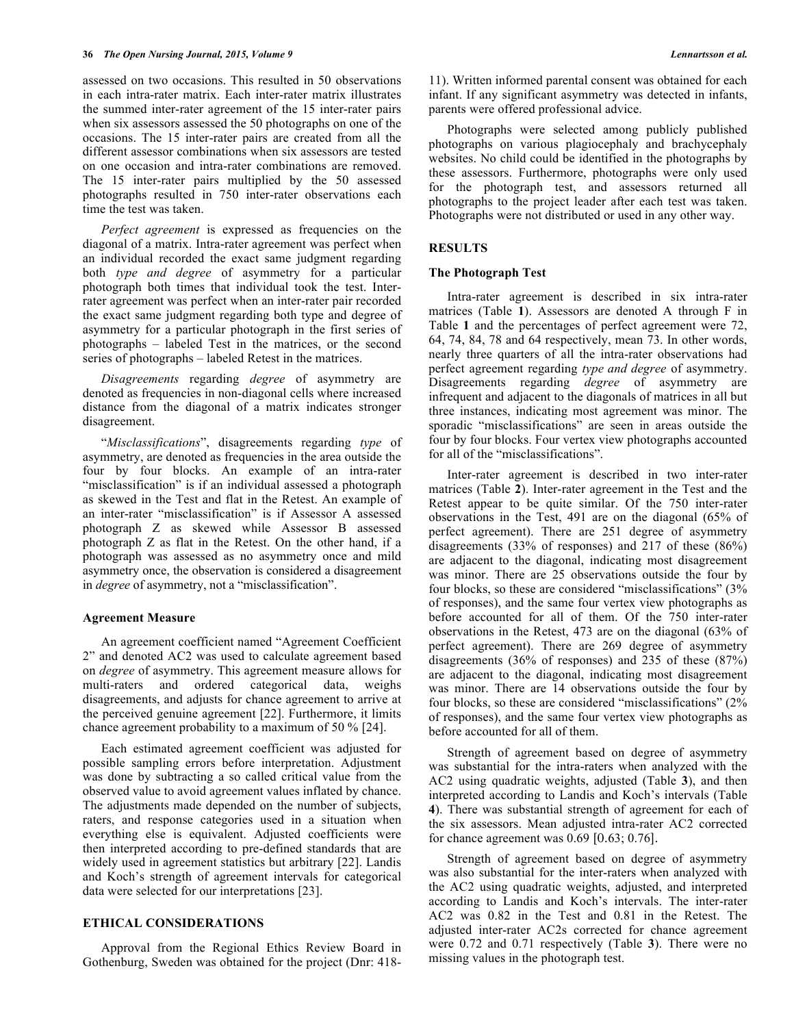assessed on two occasions. This resulted in 50 observations in each intra-rater matrix. Each inter-rater matrix illustrates the summed inter-rater agreement of the 15 inter-rater pairs when six assessors assessed the 50 photographs on one of the occasions. The 15 inter-rater pairs are created from all the different assessor combinations when six assessors are tested on one occasion and intra-rater combinations are removed. The 15 inter-rater pairs multiplied by the 50 assessed photographs resulted in 750 inter-rater observations each time the test was taken.

*Perfect agreement* is expressed as frequencies on the diagonal of a matrix. Intra-rater agreement was perfect when an individual recorded the exact same judgment regarding both *type and degree* of asymmetry for a particular photograph both times that individual took the test. Interrater agreement was perfect when an inter-rater pair recorded the exact same judgment regarding both type and degree of asymmetry for a particular photograph in the first series of photographs – labeled Test in the matrices, or the second series of photographs – labeled Retest in the matrices.

*Disagreements* regarding *degree* of asymmetry are denoted as frequencies in non-diagonal cells where increased distance from the diagonal of a matrix indicates stronger disagreement.

"*Misclassifications*", disagreements regarding *type* of asymmetry, are denoted as frequencies in the area outside the four by four blocks. An example of an intra-rater "misclassification" is if an individual assessed a photograph as skewed in the Test and flat in the Retest. An example of an inter-rater "misclassification" is if Assessor A assessed photograph Z as skewed while Assessor B assessed photograph Z as flat in the Retest. On the other hand, if a photograph was assessed as no asymmetry once and mild asymmetry once, the observation is considered a disagreement in *degree* of asymmetry, not a "misclassification".

#### **Agreement Measure**

An agreement coefficient named "Agreement Coefficient 2" and denoted AC2 was used to calculate agreement based on *degree* of asymmetry. This agreement measure allows for multi-raters and ordered categorical data, weighs disagreements, and adjusts for chance agreement to arrive at the perceived genuine agreement [22]. Furthermore, it limits chance agreement probability to a maximum of 50 % [24].

Each estimated agreement coefficient was adjusted for possible sampling errors before interpretation. Adjustment was done by subtracting a so called critical value from the observed value to avoid agreement values inflated by chance. The adjustments made depended on the number of subjects, raters, and response categories used in a situation when everything else is equivalent. Adjusted coefficients were then interpreted according to pre-defined standards that are widely used in agreement statistics but arbitrary [22]. Landis and Koch's strength of agreement intervals for categorical data were selected for our interpretations [23].

## **ETHICAL CONSIDERATIONS**

Approval from the Regional Ethics Review Board in Gothenburg, Sweden was obtained for the project (Dnr: 41811). Written informed parental consent was obtained for each infant. If any significant asymmetry was detected in infants, parents were offered professional advice.

Photographs were selected among publicly published photographs on various plagiocephaly and brachycephaly websites. No child could be identified in the photographs by these assessors. Furthermore, photographs were only used for the photograph test, and assessors returned all photographs to the project leader after each test was taken. Photographs were not distributed or used in any other way.

#### **RESULTS**

#### **The Photograph Test**

Intra-rater agreement is described in six intra-rater matrices (Table **1**). Assessors are denoted A through F in Table **1** and the percentages of perfect agreement were 72, 64, 74, 84, 78 and 64 respectively, mean 73. In other words, nearly three quarters of all the intra-rater observations had perfect agreement regarding *type and degree* of asymmetry. Disagreements regarding *degree* of asymmetry are infrequent and adjacent to the diagonals of matrices in all but three instances, indicating most agreement was minor. The sporadic "misclassifications" are seen in areas outside the four by four blocks. Four vertex view photographs accounted for all of the "misclassifications".

Inter-rater agreement is described in two inter-rater matrices (Table **2**). Inter-rater agreement in the Test and the Retest appear to be quite similar. Of the 750 inter-rater observations in the Test, 491 are on the diagonal (65% of perfect agreement). There are 251 degree of asymmetry disagreements (33% of responses) and 217 of these (86%) are adjacent to the diagonal, indicating most disagreement was minor. There are 25 observations outside the four by four blocks, so these are considered "misclassifications" (3% of responses), and the same four vertex view photographs as before accounted for all of them. Of the 750 inter-rater observations in the Retest, 473 are on the diagonal (63% of perfect agreement). There are 269 degree of asymmetry disagreements (36% of responses) and 235 of these (87%) are adjacent to the diagonal, indicating most disagreement was minor. There are 14 observations outside the four by four blocks, so these are considered "misclassifications" (2% of responses), and the same four vertex view photographs as before accounted for all of them.

Strength of agreement based on degree of asymmetry was substantial for the intra-raters when analyzed with the AC2 using quadratic weights, adjusted (Table **3**), and then interpreted according to Landis and Koch's intervals (Table **4**). There was substantial strength of agreement for each of the six assessors. Mean adjusted intra-rater AC2 corrected for chance agreement was 0.69 [0.63; 0.76].

Strength of agreement based on degree of asymmetry was also substantial for the inter-raters when analyzed with the AC2 using quadratic weights, adjusted, and interpreted according to Landis and Koch's intervals. The inter-rater AC2 was 0.82 in the Test and 0.81 in the Retest. The adjusted inter-rater AC2s corrected for chance agreement were 0.72 and 0.71 respectively (Table **3**). There were no missing values in the photograph test.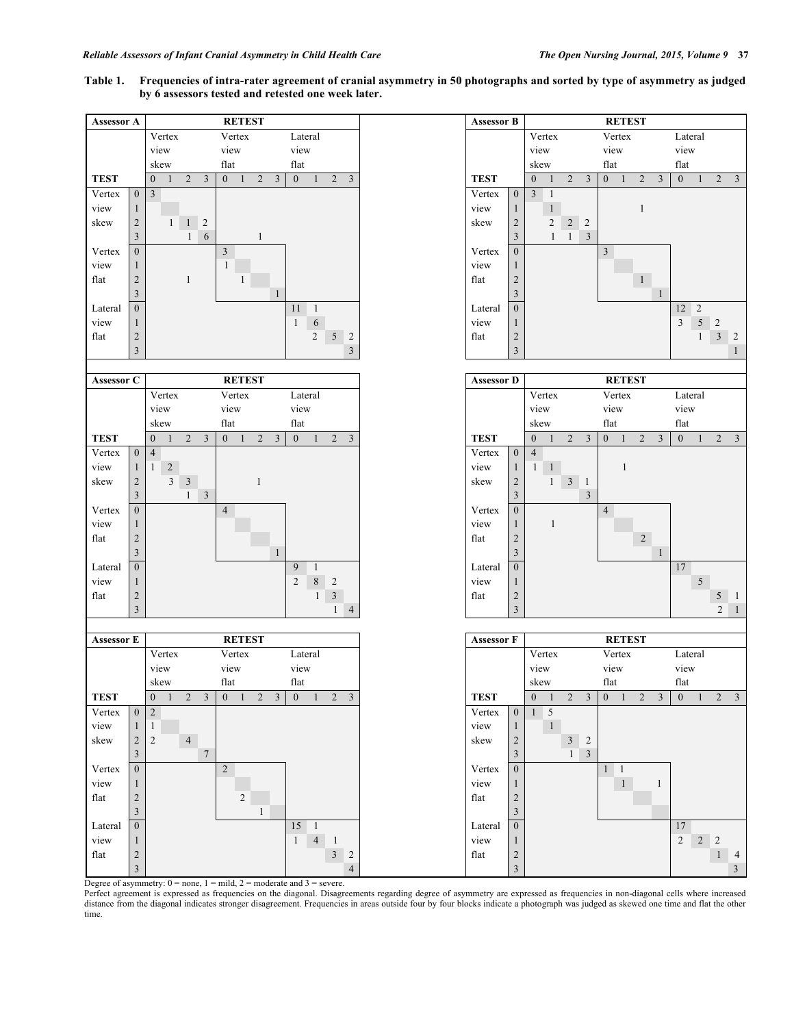## **Table 1. Frequencies of intra-rater agreement of cranial asymmetry in 50 photographs and sorted by type of asymmetry as judged by 6 assessors tested and retested one week later.**



Degree of asymmetry:  $0 = none$ ,  $1 = mild$ ,  $2 = moderate$  and  $3 = severe$ .

Perfect agreement is expressed as frequencies on the diagonal. Disagreements regarding degree of asymmetry are expressed as frequencies in non-diagonal cells where increased distance from the diagonal indicates stronger disagreement. Frequencies in areas outside four by four blocks indicate a photograph was judged as skewed one time and flat the other time.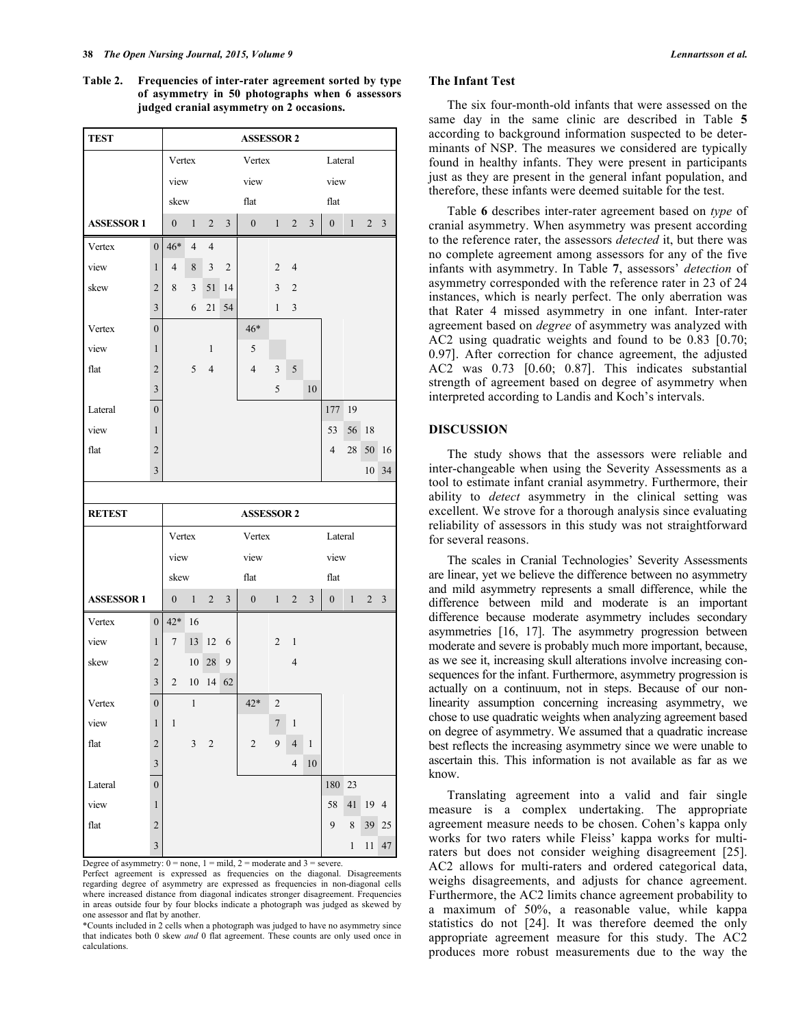**Table 2. Frequencies of inter-rater agreement sorted by type of asymmetry in 50 photographs when 6 assessors judged cranial asymmetry on 2 occasions.**

| <b>TEST</b>           |                  |                  |                |                |                | <b>ASSESSOR 2</b> |                  |                |                |                  |              |                |                |
|-----------------------|------------------|------------------|----------------|----------------|----------------|-------------------|------------------|----------------|----------------|------------------|--------------|----------------|----------------|
|                       |                  | Vertex           |                |                |                | Vertex            |                  |                |                | Lateral          |              |                |                |
|                       |                  | view             |                |                |                | view              |                  |                |                | view             |              |                |                |
|                       |                  | skew             |                |                |                | flat              |                  |                |                | flat             |              |                |                |
| <b>ASSESSOR1</b>      |                  | $\boldsymbol{0}$ | $\mathbf{1}$   | $\overline{2}$ | 3              | $\boldsymbol{0}$  | $\mathbf{1}$     | $\overline{2}$ | 3              | $\boldsymbol{0}$ | $\mathbf{1}$ | 2              | $\mathfrak{Z}$ |
| Vertex                | $\boldsymbol{0}$ | 46*              | $\overline{4}$ | $\overline{4}$ |                |                   |                  |                |                |                  |              |                |                |
| view                  | $\mathbf{1}$     | $\overline{4}$   | $\,$ 8 $\,$    | $\mathfrak{Z}$ | $\overline{c}$ |                   | $\overline{c}$   | $\overline{4}$ |                |                  |              |                |                |
| skew                  | $\overline{2}$   | 8                | 3              | 51             | 14             |                   | 3                | $\sqrt{2}$     |                |                  |              |                |                |
|                       | $\mathfrak{Z}$   |                  | 6              | 21             | 54             |                   | 1                | $\mathfrak{Z}$ |                |                  |              |                |                |
| Vertex                | $\boldsymbol{0}$ |                  |                |                |                | $46*$             |                  |                |                |                  |              |                |                |
| view                  | 1                |                  |                | $\mathbf{1}$   |                | $\mathfrak s$     |                  |                |                |                  |              |                |                |
| flat                  | $\overline{2}$   |                  | 5              | $\overline{4}$ |                | $\overline{4}$    | $\mathfrak{Z}$   | $\sqrt{5}$     |                |                  |              |                |                |
|                       | 3                |                  |                |                |                |                   | 5                |                | 10             |                  |              |                |                |
| Lateral               | $\boldsymbol{0}$ |                  |                |                |                |                   |                  |                |                | 177              | 19           |                |                |
| view                  | $\mathbf{1}$     |                  |                |                |                |                   |                  |                |                | 53               | 56           | 18             |                |
| flat                  | $\overline{2}$   |                  |                |                |                |                   |                  |                |                | $\overline{4}$   | 28           | 50             | 16             |
|                       | 3                |                  |                |                |                |                   |                  |                |                |                  |              | 10             | 34             |
|                       |                  |                  |                |                |                |                   |                  |                |                |                  |              |                |                |
|                       |                  |                  |                |                |                |                   |                  |                |                |                  |              |                |                |
| <b>RETEST</b>         |                  |                  |                |                |                | <b>ASSESSOR 2</b> |                  |                |                |                  |              |                |                |
|                       |                  | Vertex           |                |                |                | Vertex            |                  |                |                | Lateral          |              |                |                |
|                       |                  | view             |                |                |                | view              |                  |                |                | view             |              |                |                |
|                       |                  | skew             |                |                |                | flat              |                  |                |                | flat             |              |                |                |
| <b>ASSESSOR1</b>      |                  | $\boldsymbol{0}$ | 1              | $\overline{c}$ | 3              | $\boldsymbol{0}$  | 1                | $\overline{2}$ | $\overline{3}$ | $\boldsymbol{0}$ | $\mathbf{1}$ | $\overline{2}$ | 3              |
| Vertex                | $\boldsymbol{0}$ | $42*$            | 16             |                |                |                   |                  |                |                |                  |              |                |                |
| view                  | 1                | 7                | 13             | 12             | 6              |                   | $\sqrt{2}$       | $\mathbf{1}$   |                |                  |              |                |                |
| skew                  | $\overline{2}$   |                  | 10             | 28             | 9              |                   |                  | $\overline{4}$ |                |                  |              |                |                |
|                       | 3                | $\overline{c}$   | 10             | 14             | 62             |                   |                  |                |                |                  |              |                |                |
| Vertex                | $\overline{0}$   |                  | $\mathbf{1}$   |                |                | 42*               | $\sqrt{2}$       |                |                |                  |              |                |                |
| view                  | $\mathbf{1}$     | $\,1\,$          |                |                |                |                   | $\boldsymbol{7}$ | $\,1\,$        |                |                  |              |                |                |
| flat                  | $\overline{2}$   |                  | $\mathfrak{Z}$ | $\sqrt{2}$     |                | $\boldsymbol{2}$  | 9                | $\overline{4}$ | $\,1$          |                  |              |                |                |
|                       | 3                |                  |                |                |                |                   |                  | $\overline{4}$ | 10             |                  |              |                |                |
| Lateral               | $\boldsymbol{0}$ |                  |                |                |                |                   |                  |                |                | 180              | 23           |                |                |
| view                  | $\mathbf{1}$     |                  |                |                |                |                   |                  |                |                | 58               | 41           | 19             | $\overline{4}$ |
| $\operatorname{flat}$ | $\sqrt{2}$       |                  |                |                |                |                   |                  |                |                | $\boldsymbol{9}$ | $\,$ 8 $\,$  | 39             | 25             |

Degree of asymmetry:  $0 = none$ ,  $1 = mild$ ,  $2 = moderate$  and  $3 = severe$ .

Perfect agreement is expressed as frequencies on the diagonal. Disagreements regarding degree of asymmetry are expressed as frequencies in non-diagonal cells where increased distance from diagonal indicates stronger disagreement. Frequencies in areas outside four by four blocks indicate a photograph was judged as skewed by one assessor and flat by another.

\*Counts included in 2 cells when a photograph was judged to have no asymmetry since that indicates both 0 skew *and* 0 flat agreement. These counts are only used once in calculations.

## **The Infant Test**

The six four-month-old infants that were assessed on the same day in the same clinic are described in Table **5** according to background information suspected to be determinants of NSP. The measures we considered are typically found in healthy infants. They were present in participants just as they are present in the general infant population, and therefore, these infants were deemed suitable for the test.

Table **6** describes inter-rater agreement based on *type* of cranial asymmetry. When asymmetry was present according to the reference rater, the assessors *detected* it, but there was no complete agreement among assessors for any of the five infants with asymmetry. In Table **7**, assessors' *detection* of asymmetry corresponded with the reference rater in 23 of 24 instances, which is nearly perfect. The only aberration was that Rater 4 missed asymmetry in one infant. Inter-rater agreement based on *degree* of asymmetry was analyzed with AC2 using quadratic weights and found to be 0.83 [0.70; 0.97]. After correction for chance agreement, the adjusted AC2 was 0.73 [0.60; 0.87]. This indicates substantial strength of agreement based on degree of asymmetry when interpreted according to Landis and Koch's intervals.

## **DISCUSSION**

The study shows that the assessors were reliable and inter-changeable when using the Severity Assessments as a tool to estimate infant cranial asymmetry. Furthermore, their ability to *detect* asymmetry in the clinical setting was excellent. We strove for a thorough analysis since evaluating reliability of assessors in this study was not straightforward for several reasons.

The scales in Cranial Technologies' Severity Assessments are linear, yet we believe the difference between no asymmetry and mild asymmetry represents a small difference, while the difference between mild and moderate is an important difference because moderate asymmetry includes secondary asymmetries [16, 17]. The asymmetry progression between moderate and severe is probably much more important, because, as we see it, increasing skull alterations involve increasing consequences for the infant. Furthermore, asymmetry progression is actually on a continuum, not in steps. Because of our nonlinearity assumption concerning increasing asymmetry, we chose to use quadratic weights when analyzing agreement based on degree of asymmetry. We assumed that a quadratic increase best reflects the increasing asymmetry since we were unable to ascertain this. This information is not available as far as we know.

Translating agreement into a valid and fair single measure is a complex undertaking. The appropriate agreement measure needs to be chosen. Cohen's kappa only works for two raters while Fleiss' kappa works for multiraters but does not consider weighing disagreement [25]. AC2 allows for multi-raters and ordered categorical data, weighs disagreements, and adjusts for chance agreement. Furthermore, the AC2 limits chance agreement probability to a maximum of 50%, a reasonable value, while kappa statistics do not [24]. It was therefore deemed the only appropriate agreement measure for this study. The AC2 produces more robust measurements due to the way the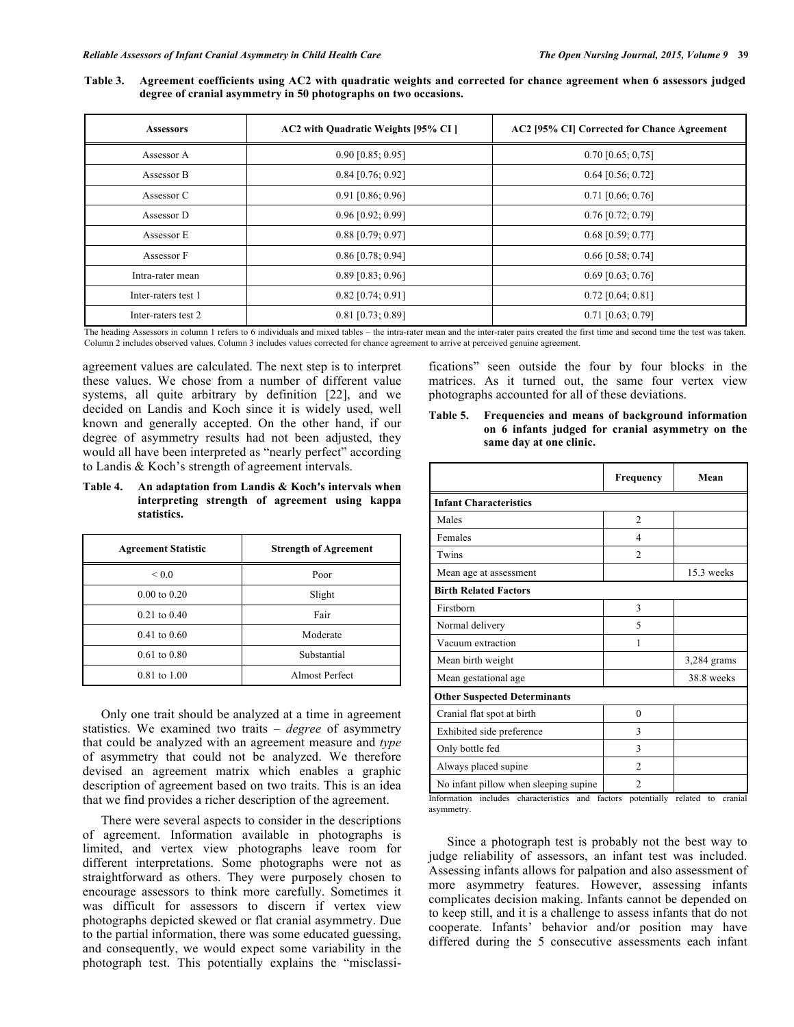**Table 3. Agreement coefficients using AC2 with quadratic weights and corrected for chance agreement when 6 assessors judged degree of cranial asymmetry in 50 photographs on two occasions.**

| <b>Assessors</b>    | AC2 with Quadratic Weights [95% CI] | AC2 [95% CI] Corrected for Chance Agreement |
|---------------------|-------------------------------------|---------------------------------------------|
| Assessor A          | $0.90$ [0.85; 0.95]                 | $0.70$ [0.65; 0,75]                         |
| Assessor B          | $0.84$ [0.76; 0.92]                 | $0.64$ [0.56; 0.72]                         |
| Assessor C          | $0.91$ [0.86; 0.96]                 | $0.71$ [0.66; 0.76]                         |
| Assessor D          | $0.96$ [0.92; 0.99]                 | $0.76$ [0.72; 0.79]                         |
| Assessor E          | $0.88$ [0.79; 0.97]                 | $0.68$ [0.59; 0.77]                         |
| Assessor F          | $0.86$ [0.78; 0.94]                 | $0.66$ [0.58; 0.74]                         |
| Intra-rater mean    | $0.89$ [0.83; 0.96]                 | $0.69$ [0.63; 0.76]                         |
| Inter-raters test 1 | $0.82$ [0.74; 0.91]                 | $0.72$ [0.64; 0.81]                         |
| Inter-raters test 2 | $0.81$ [0.73; 0.89]                 | $0.71$ [0.63; 0.79]                         |

The heading Assessors in column 1 refers to 6 individuals and mixed tables – the intra-rater mean and the inter-rater pairs created the first time and second time the test was taken. Column 2 includes observed values. Column 3 includes values corrected for chance agreement to arrive at perceived genuine agreement.

agreement values are calculated. The next step is to interpret these values. We chose from a number of different value systems, all quite arbitrary by definition [22], and we decided on Landis and Koch since it is widely used, well known and generally accepted. On the other hand, if our degree of asymmetry results had not been adjusted, they would all have been interpreted as "nearly perfect" according to Landis & Koch's strength of agreement intervals.

**Table 4. An adaptation from Landis & Koch's intervals when interpreting strength of agreement using kappa statistics.**

| <b>Agreement Statistic</b> | <b>Strength of Agreement</b> |
|----------------------------|------------------------------|
| 0.0<                       | Poor                         |
| $0.00 \text{ to } 0.20$    | Slight                       |
| $0.21$ to $0.40$           | Fair                         |
| $0.41$ to $0.60$           | Moderate                     |
| $0.61$ to $0.80$           | Substantial                  |
| $0.81$ to $1.00$           | <b>Almost Perfect</b>        |

Only one trait should be analyzed at a time in agreement statistics. We examined two traits – *degree* of asymmetry that could be analyzed with an agreement measure and *type*  of asymmetry that could not be analyzed. We therefore devised an agreement matrix which enables a graphic description of agreement based on two traits. This is an idea that we find provides a richer description of the agreement.

There were several aspects to consider in the descriptions of agreement. Information available in photographs is limited, and vertex view photographs leave room for different interpretations. Some photographs were not as straightforward as others. They were purposely chosen to encourage assessors to think more carefully. Sometimes it was difficult for assessors to discern if vertex view photographs depicted skewed or flat cranial asymmetry. Due to the partial information, there was some educated guessing, and consequently, we would expect some variability in the photograph test. This potentially explains the "misclassifications" seen outside the four by four blocks in the matrices. As it turned out, the same four vertex view photographs accounted for all of these deviations.

**Table 5. Frequencies and means of background information on 6 infants judged for cranial asymmetry on the same day at one clinic.**

|                                        | Frequency      | Mean        |
|----------------------------------------|----------------|-------------|
| <b>Infant Characteristics</b>          |                |             |
| Males                                  | $\overline{2}$ |             |
| Females                                | 4              |             |
| Twins                                  | $\mathfrak{D}$ |             |
| Mean age at assessment                 |                | 15.3 weeks  |
| <b>Birth Related Factors</b>           |                |             |
| Firstborn                              | 3              |             |
| Normal delivery                        | 5              |             |
| Vacuum extraction                      | 1              |             |
| Mean birth weight                      |                | 3,284 grams |
| Mean gestational age                   |                | 38.8 weeks  |
| <b>Other Suspected Determinants</b>    |                |             |
| Cranial flat spot at birth             | $\theta$       |             |
| Exhibited side preference              | 3              |             |
| Only bottle fed                        | 3              |             |
| Always placed supine                   | 2              |             |
| No infant pillow when sleeping supine. | $\overline{c}$ |             |

Information includes characteristics and factors potentially related to cranial asymmetry.

Since a photograph test is probably not the best way to judge reliability of assessors, an infant test was included. Assessing infants allows for palpation and also assessment of more asymmetry features. However, assessing infants complicates decision making. Infants cannot be depended on to keep still, and it is a challenge to assess infants that do not cooperate. Infants' behavior and/or position may have differed during the 5 consecutive assessments each infant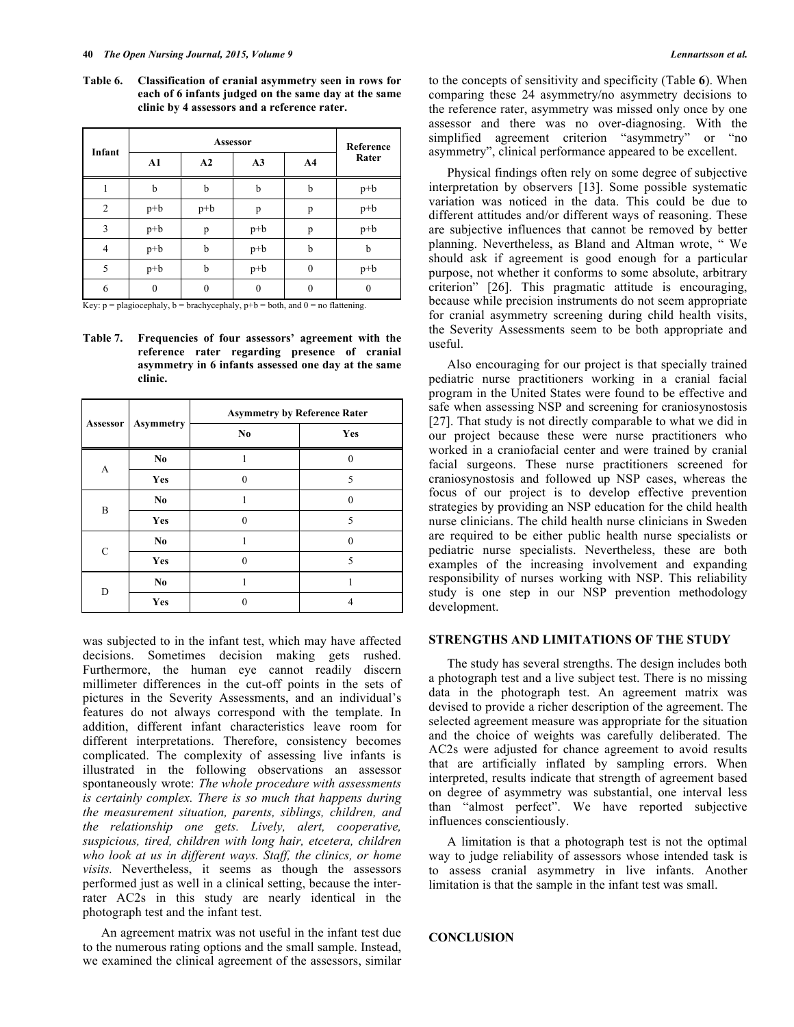**Table 6. Classification of cranial asymmetry seen in rows for each of 6 infants judged on the same day at the same clinic by 4 assessors and a reference rater.**

|        |              | Reference |       |                |       |
|--------|--------------|-----------|-------|----------------|-------|
| Infant | ${\bf A1}$   | A2        | A3    | A <sub>4</sub> | Rater |
|        | b            | b         | b     | b              | $p+b$ |
| 2      | $p+b$        | $p+b$     | p     | p              | $p+b$ |
| 3      | $p+b$        | p         | $p+b$ | p              | $p+b$ |
| 4      | $p+b$        | b         | $p+b$ | b              | b     |
| 5      | $p+b$        | b         | $p+b$ | $\theta$       | $p+b$ |
| 6      | $\mathbf{0}$ | 0         | 0     | 0              |       |

Key:  $p =$  plagiocephaly,  $b =$  brachycephaly,  $p + b =$  both, and  $0 =$  no flattening.

**Table 7. Frequencies of four assessors' agreement with the reference rater regarding presence of cranial asymmetry in 6 infants assessed one day at the same clinic.**

|             |                  | <b>Asymmetry by Reference Rater</b> |          |  |  |
|-------------|------------------|-------------------------------------|----------|--|--|
| Assessor    | <b>Asymmetry</b> | N <sub>0</sub>                      | Yes      |  |  |
| A           | No.              |                                     | $\Omega$ |  |  |
|             | Yes              | 0                                   | 5        |  |  |
| B           | No.              |                                     | $\Omega$ |  |  |
|             | Yes              | 0                                   | 5        |  |  |
| $\mathbf C$ | No.              |                                     | $\Omega$ |  |  |
|             | Yes              | 0                                   | 5        |  |  |
| D           | No.              |                                     |          |  |  |
|             | Yes              |                                     | 4        |  |  |

was subjected to in the infant test, which may have affected decisions. Sometimes decision making gets rushed. Furthermore, the human eye cannot readily discern millimeter differences in the cut-off points in the sets of pictures in the Severity Assessments, and an individual's features do not always correspond with the template. In addition, different infant characteristics leave room for different interpretations. Therefore, consistency becomes complicated. The complexity of assessing live infants is illustrated in the following observations an assessor spontaneously wrote: *The whole procedure with assessments is certainly complex. There is so much that happens during the measurement situation, parents, siblings, children, and the relationship one gets. Lively, alert, cooperative, suspicious, tired, children with long hair, etcetera, children who look at us in different ways. Staff, the clinics, or home visits.* Nevertheless, it seems as though the assessors performed just as well in a clinical setting, because the interrater AC2s in this study are nearly identical in the photograph test and the infant test.

An agreement matrix was not useful in the infant test due to the numerous rating options and the small sample. Instead, we examined the clinical agreement of the assessors, similar

to the concepts of sensitivity and specificity (Table **6**). When comparing these 24 asymmetry/no asymmetry decisions to the reference rater, asymmetry was missed only once by one assessor and there was no over-diagnosing. With the simplified agreement criterion "asymmetry" or "no asymmetry", clinical performance appeared to be excellent.

Physical findings often rely on some degree of subjective interpretation by observers [13]. Some possible systematic variation was noticed in the data. This could be due to different attitudes and/or different ways of reasoning. These are subjective influences that cannot be removed by better planning. Nevertheless, as Bland and Altman wrote, " We should ask if agreement is good enough for a particular purpose, not whether it conforms to some absolute, arbitrary criterion" [26]. This pragmatic attitude is encouraging, because while precision instruments do not seem appropriate for cranial asymmetry screening during child health visits, the Severity Assessments seem to be both appropriate and useful.

Also encouraging for our project is that specially trained pediatric nurse practitioners working in a cranial facial program in the United States were found to be effective and safe when assessing NSP and screening for craniosynostosis [27]. That study is not directly comparable to what we did in our project because these were nurse practitioners who worked in a craniofacial center and were trained by cranial facial surgeons. These nurse practitioners screened for craniosynostosis and followed up NSP cases, whereas the focus of our project is to develop effective prevention strategies by providing an NSP education for the child health nurse clinicians. The child health nurse clinicians in Sweden are required to be either public health nurse specialists or pediatric nurse specialists. Nevertheless, these are both examples of the increasing involvement and expanding responsibility of nurses working with NSP. This reliability study is one step in our NSP prevention methodology development.

#### **STRENGTHS AND LIMITATIONS OF THE STUDY**

The study has several strengths. The design includes both a photograph test and a live subject test. There is no missing data in the photograph test. An agreement matrix was devised to provide a richer description of the agreement. The selected agreement measure was appropriate for the situation and the choice of weights was carefully deliberated. The AC2s were adjusted for chance agreement to avoid results that are artificially inflated by sampling errors. When interpreted, results indicate that strength of agreement based on degree of asymmetry was substantial, one interval less than "almost perfect". We have reported subjective influences conscientiously.

A limitation is that a photograph test is not the optimal way to judge reliability of assessors whose intended task is to assess cranial asymmetry in live infants. Another limitation is that the sample in the infant test was small.

## **CONCLUSION**